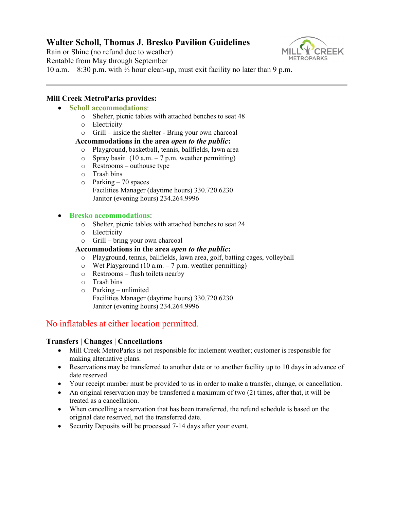# **Walter Scholl, Thomas J. Bresko Pavilion Guidelines**

Rain or Shine (no refund due to weather) Rentable from May through September



10 a.m.  $-8:30$  p.m. with  $\frac{1}{2}$  hour clean-up, must exit facility no later than 9 p.m.

## **Mill Creek MetroParks provides:**

## • **Scholl accommodations**:

- o Shelter, picnic tables with attached benches to seat 48
- o Electricity
- o Grill inside the shelter Bring your own charcoal

### **Accommodations in the area** *open to the public***:**

- o Playground, basketball, tennis, ballfields, lawn area<br>  $\circ$  Spray basin (10 a.m. 7 p.m. weather permitting)
- Spray basin  $(10 a.m. 7 p.m.$  weather permitting)
- o Restrooms outhouse type
- o Trash bins
- $\circ$  Parking 70 spaces Facilities Manager (daytime hours) 330.720.6230 Janitor (evening hours) 234.264.9996

### • **Bresko accommodations**:

- o Shelter, picnic tables with attached benches to seat 24
- o Electricity
- o Grill bring your own charcoal

### **Accommodations in the area** *open to the public***:**

- o Playground, tennis, ballfields, lawn area, golf, batting cages, volleyball
- $\circ$  Wet Playground (10 a.m. 7 p.m. weather permitting)
- o Restrooms flush toilets nearby
- o Trash bins
- o Parking unlimited Facilities Manager (daytime hours) 330.720.6230 Janitor (evening hours) 234.264.9996

# No inflatables at either location permitted.

### **Transfers | Changes | Cancellations**

- Mill Creek MetroParks is not responsible for inclement weather; customer is responsible for making alternative plans.
- Reservations may be transferred to another date or to another facility up to 10 days in advance of date reserved.
- Your receipt number must be provided to us in order to make a transfer, change, or cancellation.
- An original reservation may be transferred a maximum of two (2) times, after that, it will be treated as a cancellation.
- When cancelling a reservation that has been transferred, the refund schedule is based on the original date reserved, not the transferred date.
- Security Deposits will be processed 7-14 days after your event.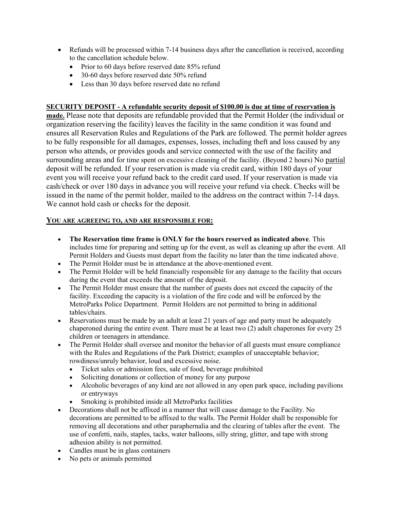- Refunds will be processed within 7-14 business days after the cancellation is received, according to the cancellation schedule below.
	- Prior to 60 days before reserved date 85% refund
	- 30-60 days before reserved date 50% refund
	- Less than 30 days before reserved date no refund

### **SECURITY DEPOSIT - A refundable security deposit of \$100.00 is due at time of reservation is**

**made.** Please note that deposits are refundable provided that the Permit Holder (the individual or organization reserving the facility) leaves the facility in the same condition it was found and ensures all Reservation Rules and Regulations of the Park are followed. The permit holder agrees to be fully responsible for all damages, expenses, losses, including theft and loss caused by any person who attends, or provides goods and service connected with the use of the facility and surrounding areas and for time spent on excessive cleaning of the facility. (Beyond 2 hours) No partial deposit will be refunded. If your reservation is made via credit card, within 180 days of your event you will receive your refund back to the credit card used. If your reservation is made via cash/check or over 180 days in advance you will receive your refund via check. Checks will be issued in the name of the permit holder, mailed to the address on the contract within 7-14 days. We cannot hold cash or checks for the deposit.

### **YOU ARE AGREEING TO, AND ARE RESPONSIBLE FOR:**

- **The Reservation time frame is ONLY for the hours reserved as indicated above**. This includes time for preparing and setting up for the event, as well as cleaning up after the event. All Permit Holders and Guests must depart from the facility no later than the time indicated above.
- The Permit Holder must be in attendance at the above-mentioned event.
- The Permit Holder will be held financially responsible for any damage to the facility that occurs during the event that exceeds the amount of the deposit.
- The Permit Holder must ensure that the number of guests does not exceed the capacity of the facility. Exceeding the capacity is a violation of the fire code and will be enforced by the MetroParks Police Department. Permit Holders are not permitted to bring in additional tables/chairs.
- Reservations must be made by an adult at least 21 years of age and party must be adequately chaperoned during the entire event. There must be at least two (2) adult chaperones for every 25 children or teenagers in attendance.
- The Permit Holder shall oversee and monitor the behavior of all guests must ensure compliance with the Rules and Regulations of the Park District; examples of unacceptable behavior; rowdiness/unruly behavior, loud and excessive noise.
	- Ticket sales or admission fees, sale of food, beverage prohibited
	- Soliciting donations or collection of money for any purpose
	- Alcoholic beverages of any kind are not allowed in any open park space, including pavilions or entryways
		- Smoking is prohibited inside all MetroParks facilities
- Decorations shall not be affixed in a manner that will cause damage to the Facility. No decorations are permitted to be affixed to the walls. The Permit Holder shall be responsible for removing all decorations and other paraphernalia and the clearing of tables after the event. The use of confetti, nails, staples, tacks, water balloons, silly string, glitter, and tape with strong adhesion ability is not permitted.
- Candles must be in glass containers
- No pets or animals permitted